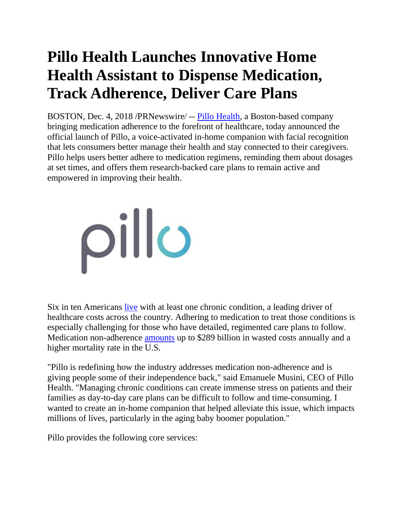## **Pillo Health Launches Innovative Home Health Assistant to Dispense Medication, Track Adherence, Deliver Care Plans**

BOSTON, Dec. 4, 2018 /PRNewswire/ -- [Pillo Health,](https://www.pillohealth.com/) a Boston-based company bringing medication adherence to the forefront of healthcare, today announced the official launch of Pillo, a voice-activated in-home companion with facial recognition that lets consumers better manage their health and stay connected to their caregivers. Pillo helps users better adhere to medication regimens, reminding them about dosages at set times, and offers them research-backed care plans to remain active and empowered in improving their health.

## pillo

Six in ten Americans [live](https://www.cdc.gov/chronicdisease/index.htm) with at least one chronic condition, a leading driver of healthcare costs across the country. Adhering to medication to treat those conditions is especially challenging for those who have detailed, regimented care plans to follow. Medication non-adherence [amounts](https://www.nacds.org/news/the-cost-of-medication-non-adherence/) up to \$289 billion in wasted costs annually and a higher mortality rate in the U.S.

"Pillo is redefining how the industry addresses medication non-adherence and is giving people some of their independence back," said Emanuele Musini, CEO of Pillo Health. "Managing chronic conditions can create immense stress on patients and their families as day-to-day care plans can be difficult to follow and time-consuming. I wanted to create an in-home companion that helped alleviate this issue, which impacts millions of lives, particularly in the aging baby boomer population."

Pillo provides the following core services: